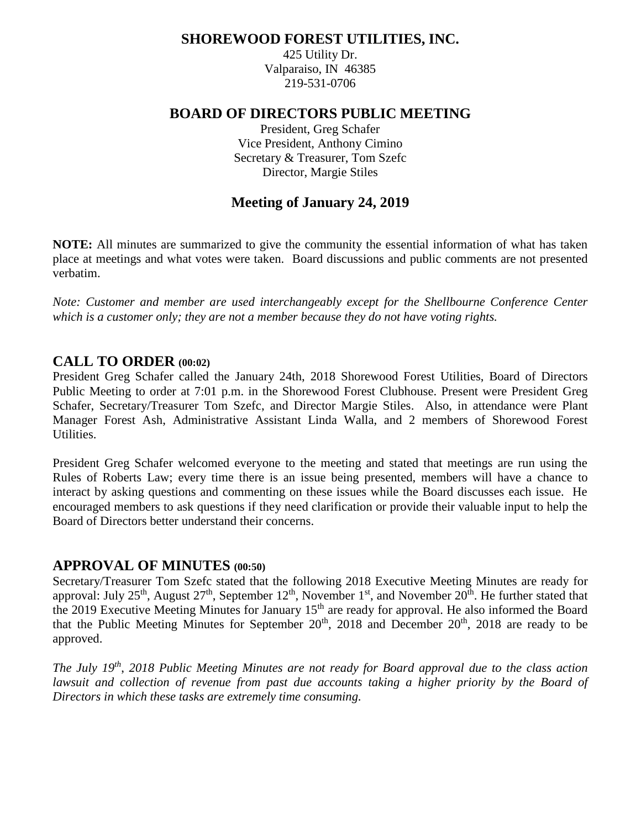# **SHOREWOOD FOREST UTILITIES, INC.**

425 Utility Dr. Valparaiso, IN 46385 219-531-0706

# **BOARD OF DIRECTORS PUBLIC MEETING**

President, Greg Schafer Vice President, Anthony Cimino Secretary & Treasurer, Tom Szefc Director, Margie Stiles

# **Meeting of January 24, 2019**

**NOTE:** All minutes are summarized to give the community the essential information of what has taken place at meetings and what votes were taken. Board discussions and public comments are not presented verbatim.

*Note: Customer and member are used interchangeably except for the Shellbourne Conference Center which is a customer only; they are not a member because they do not have voting rights.*

# **CALL TO ORDER (00:02)**

President Greg Schafer called the January 24th, 2018 Shorewood Forest Utilities, Board of Directors Public Meeting to order at 7:01 p.m. in the Shorewood Forest Clubhouse. Present were President Greg Schafer, Secretary/Treasurer Tom Szefc, and Director Margie Stiles. Also, in attendance were Plant Manager Forest Ash, Administrative Assistant Linda Walla, and 2 members of Shorewood Forest Utilities.

President Greg Schafer welcomed everyone to the meeting and stated that meetings are run using the Rules of Roberts Law; every time there is an issue being presented, members will have a chance to interact by asking questions and commenting on these issues while the Board discusses each issue. He encouraged members to ask questions if they need clarification or provide their valuable input to help the Board of Directors better understand their concerns.

# **APPROVAL OF MINUTES (00:50)**

Secretary/Treasurer Tom Szefc stated that the following 2018 Executive Meeting Minutes are ready for approval: July 25<sup>th</sup>, August 27<sup>th</sup>, September 12<sup>th</sup>, November 1<sup>st</sup>, and November 20<sup>th</sup>. He further stated that the 2019 Executive Meeting Minutes for January 15<sup>th</sup> are ready for approval. He also informed the Board that the Public Meeting Minutes for September  $20<sup>th</sup>$ ,  $2018$  and December  $20<sup>th</sup>$ ,  $2018$  are ready to be approved.

*The July 19 th* , *2018 Public Meeting Minutes are not ready for Board approval due to the class action lawsuit and collection of revenue from past due accounts taking a higher priority by the Board of Directors in which these tasks are extremely time consuming.*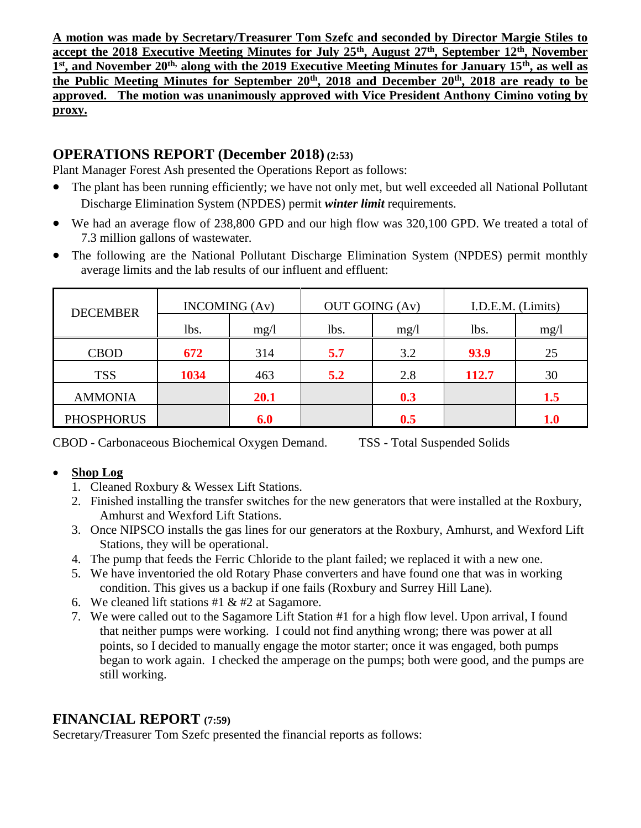**A motion was made by Secretary/Treasurer Tom Szefc and seconded by Director Margie Stiles to accept the 2018 Executive Meeting Minutes for July 25th, August 27th, September 12th, November 1 st, and November 20th, along with the 2019 Executive Meeting Minutes for January 15th, as well as the Public Meeting Minutes for September 20th, 2018 and December 20th, 2018 are ready to be approved. The motion was unanimously approved with Vice President Anthony Cimino voting by proxy.**

# **OPERATIONS REPORT (December 2018) (2:53)**

Plant Manager Forest Ash presented the Operations Report as follows:

- The plant has been running efficiently; we have not only met, but well exceeded all National Pollutant Discharge Elimination System (NPDES) permit *winter limit* requirements.
- We had an average flow of 238,800 GPD and our high flow was 320,100 GPD. We treated a total of 7.3 million gallons of wastewater.
- The following are the National Pollutant Discharge Elimination System (NPDES) permit monthly average limits and the lab results of our influent and effluent:

| <b>DECEMBER</b>   | <b>INCOMING</b> (Av) |      | <b>OUT GOING (Av)</b> |      | I.D.E.M. (Limits) |             |  |
|-------------------|----------------------|------|-----------------------|------|-------------------|-------------|--|
|                   | lbs.                 | mg/1 | lbs.                  | mg/1 | lbs.              | mg/1        |  |
| <b>CBOD</b>       | 672                  | 314  | 5.7                   | 3.2  | 93.9              | 25          |  |
| <b>TSS</b>        | 1034                 | 463  | 5.2                   | 2.8  | <b>112.7</b>      | 30          |  |
| <b>AMMONIA</b>    |                      | 20.1 |                       | 0.3  |                   | $1.5\,$     |  |
| <b>PHOSPHORUS</b> |                      | 6.0  |                       | 0.5  |                   | ${\bf 1.0}$ |  |

CBOD - Carbonaceous Biochemical Oxygen Demand. TSS - Total Suspended Solids

# • **Shop Log**

- 1. Cleaned Roxbury & Wessex Lift Stations.
- 2. Finished installing the transfer switches for the new generators that were installed at the Roxbury, Amhurst and Wexford Lift Stations.
- 3. Once NIPSCO installs the gas lines for our generators at the Roxbury, Amhurst, and Wexford Lift Stations, they will be operational.
- 4. The pump that feeds the Ferric Chloride to the plant failed; we replaced it with a new one.
- 5. We have inventoried the old Rotary Phase converters and have found one that was in working condition. This gives us a backup if one fails (Roxbury and Surrey Hill Lane).
- 6. We cleaned lift stations #1  $&$  #2 at Sagamore.
- 7. We were called out to the Sagamore Lift Station #1 for a high flow level. Upon arrival, I found that neither pumps were working. I could not find anything wrong; there was power at all points, so I decided to manually engage the motor starter; once it was engaged, both pumps began to work again. I checked the amperage on the pumps; both were good, and the pumps are still working.

# **FINANCIAL REPORT (7:59)**

Secretary/Treasurer Tom Szefc presented the financial reports as follows: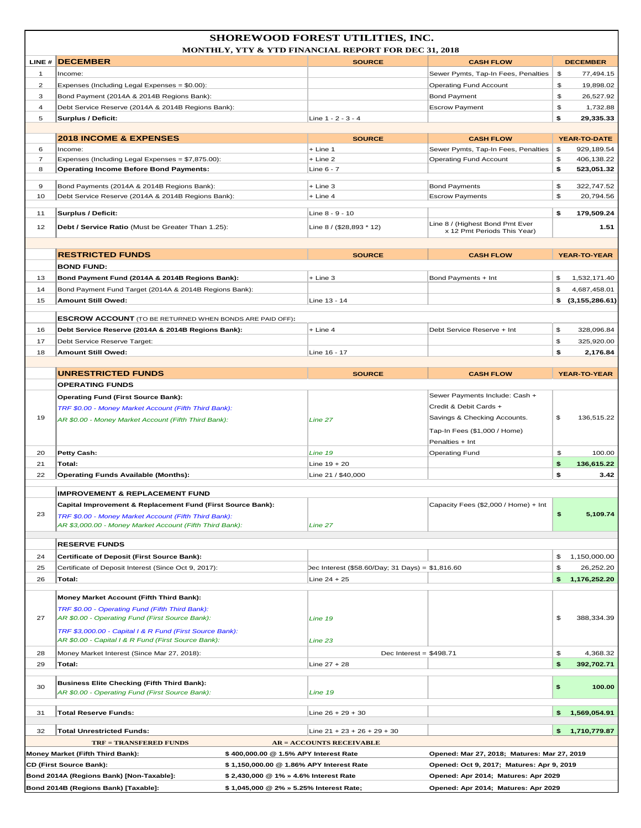|                                                                                                                          | Bond 2014A (Regions Bank) [Non-Taxable]:<br>Bond 2014B (Regions Bank) [Taxable]:                                                                                   | \$2,430,000 @ 1% » 4.6% Interest Rate<br>\$1,045,000 @ 2% » 5.25% Interest Rate; | Opened: Apr 2014; Matures: Apr 2029<br>Opened: Apr 2014; Matures: Apr 2029             |          |                                   |  |
|--------------------------------------------------------------------------------------------------------------------------|--------------------------------------------------------------------------------------------------------------------------------------------------------------------|----------------------------------------------------------------------------------|----------------------------------------------------------------------------------------|----------|-----------------------------------|--|
| <b>CD (First Source Bank):</b>                                                                                           |                                                                                                                                                                    | \$1,150,000.00 @ 1.86% APY Interest Rate                                         | Opened: Oct 9, 2017; Matures: Apr 9, 2019                                              |          |                                   |  |
| Money Market (Fifth Third Bank):<br>\$400,000.00 @ 1.5% APY Interest Rate<br>Opened: Mar 27, 2018; Matures: Mar 27, 2019 |                                                                                                                                                                    |                                                                                  |                                                                                        |          |                                   |  |
|                                                                                                                          | <b>TRF = TRANSFERED FUNDS</b>                                                                                                                                      | <b>AR = ACCOUNTS RECEIVABLE</b>                                                  |                                                                                        |          |                                   |  |
| 32                                                                                                                       | <b>Total Unrestricted Funds:</b>                                                                                                                                   | Line $21 + 23 + 26 + 29 + 30$                                                    |                                                                                        | \$       | 1,710,779.87                      |  |
| 31                                                                                                                       | Total Reserve Funds:                                                                                                                                               | Line $26 + 29 + 30$                                                              |                                                                                        | \$       | 1,569,054.91                      |  |
| 30                                                                                                                       | <b>Business Elite Checking (Fifth Third Bank):</b><br>AR \$0.00 - Operating Fund (First Source Bank):                                                              | Line 19                                                                          |                                                                                        | \$       | 100.00                            |  |
| 29                                                                                                                       | Total:                                                                                                                                                             | Line $27 + 28$                                                                   |                                                                                        | \$       | 392,702.71                        |  |
| 28                                                                                                                       | Money Market Interest (Since Mar 27, 2018):                                                                                                                        | Dec Interest = $$498.71$                                                         |                                                                                        | \$       | 4,368.32                          |  |
| 27                                                                                                                       | AR \$0.00 - Operating Fund (First Source Bank):<br>TRF \$3,000.00 - Capital I & R Fund (First Source Bank):<br>AR \$0.00 - Capital I & R Fund (First Source Bank): | Line 19<br>Line 23                                                               |                                                                                        | \$       | 388,334.39                        |  |
|                                                                                                                          | Money Market Account (Fifth Third Bank):<br>TRF \$0.00 - Operating Fund (Fifth Third Bank):                                                                        |                                                                                  |                                                                                        |          |                                   |  |
| 26                                                                                                                       | Total:                                                                                                                                                             | Line $24 + 25$                                                                   |                                                                                        | \$       | 1,176,252.20                      |  |
| 25                                                                                                                       | Certificate of Deposit (First Source Bank):<br>Certificate of Deposit Interest (Since Oct 9, 2017):                                                                | Dec Interest (\$58.60/Day; 31 Days) = \$1,816.60                                 |                                                                                        | \$<br>\$ | 1,150,000.00<br>26,252.20         |  |
| 24                                                                                                                       | <b>RESERVE FUNDS</b>                                                                                                                                               |                                                                                  |                                                                                        |          |                                   |  |
|                                                                                                                          | AR \$3,000.00 - Money Market Account (Fifth Third Bank):                                                                                                           | Line 27                                                                          |                                                                                        |          |                                   |  |
| 23                                                                                                                       | <b>IMPROVEMENT &amp; REPLACEMENT FUND</b><br>Capital Improvement & Replacement Fund (First Source Bank):<br>TRF \$0.00 - Money Market Account (Fifth Third Bank):  |                                                                                  | Capacity Fees (\$2,000 / Home) + Int                                                   | \$       | 5,109.74                          |  |
| 22                                                                                                                       | <b>Operating Funds Available (Months):</b>                                                                                                                         | Line 21 / \$40,000                                                               |                                                                                        | \$       | 3.42                              |  |
| 21                                                                                                                       | Total:                                                                                                                                                             | Line $19 + 20$                                                                   |                                                                                        | \$       | 136,615.22                        |  |
| 20                                                                                                                       | <b>Petty Cash:</b>                                                                                                                                                 | Line 19                                                                          | Penalties + Int<br><b>Operating Fund</b>                                               | \$       | 100.00                            |  |
| 19                                                                                                                       | TRF \$0.00 - Money Market Account (Fifth Third Bank):<br>AR \$0.00 - Money Market Account (Fifth Third Bank):                                                      | Line 27                                                                          | Credit & Debit Cards +<br>Savings & Checking Accounts.<br>Tap-In Fees (\$1,000 / Home) | \$       | 136,515.22                        |  |
|                                                                                                                          | <b>Operating Fund (First Source Bank):</b>                                                                                                                         |                                                                                  | Sewer Payments Include: Cash +                                                         |          |                                   |  |
|                                                                                                                          | <b>OPERATING FUNDS</b>                                                                                                                                             | <b>SOURCE</b>                                                                    | <b>CASH FLOW</b>                                                                       |          | YEAR-TO-YEAR                      |  |
|                                                                                                                          | <b>UNRESTRICTED FUNDS</b>                                                                                                                                          |                                                                                  |                                                                                        |          |                                   |  |
| 17<br>18                                                                                                                 | Debt Service Reserve Target:<br><b>Amount Still Owed:</b>                                                                                                          | Line 16 - 17                                                                     |                                                                                        | \$<br>\$ | 325,920.00<br>2,176.84            |  |
| 16                                                                                                                       | Debt Service Reserve (2014A & 2014B Regions Bank):                                                                                                                 | + Line 4                                                                         | Debt Service Reserve + Int                                                             | \$       | 328,096.84                        |  |
|                                                                                                                          | <b>ESCROW ACCOUNT</b> (TO BE RETURNED WHEN BONDS ARE PAID OFF):                                                                                                    |                                                                                  |                                                                                        |          |                                   |  |
| 15                                                                                                                       | Amount Still Owed:                                                                                                                                                 | Line 13 - 14                                                                     |                                                                                        |          | \$(3, 155, 286.61)                |  |
| 13<br>14                                                                                                                 | Bond Payment Fund (2014A & 2014B Regions Bank):<br>Bond Payment Fund Target (2014A & 2014B Regions Bank):                                                          | + Line 3                                                                         | Bond Payments + Int                                                                    | \$<br>\$ | 1,532,171.40<br>4,687,458.01      |  |
|                                                                                                                          | <b>BOND FUND:</b>                                                                                                                                                  |                                                                                  |                                                                                        |          |                                   |  |
|                                                                                                                          | <b>RESTRICTED FUNDS</b>                                                                                                                                            | <b>SOURCE</b>                                                                    | <b>CASH FLOW</b>                                                                       |          | <b>YEAR-TO-YEAR</b>               |  |
| 11<br>12                                                                                                                 | Surplus / Deficit:<br>Debt / Service Ratio (Must be Greater Than 1.25):                                                                                            | Line 8 - 9 - 10<br>Line 8 / (\$28,893 * 12)                                      | Line 8 / (Highest Bond Pmt Ever<br>x 12 Pmt Periods This Year)                         | \$       | 179,509.24<br>1.51                |  |
|                                                                                                                          |                                                                                                                                                                    |                                                                                  |                                                                                        |          |                                   |  |
| 9<br>10                                                                                                                  | Bond Payments (2014A & 2014B Regions Bank):<br>Debt Service Reserve (2014A & 2014B Regions Bank):                                                                  | + Line 3<br>+ Line 4                                                             | <b>Bond Payments</b><br><b>Escrow Payments</b>                                         | \$<br>\$ | 322,747.52<br>20,794.56           |  |
| 8                                                                                                                        | <b>Operating Income Before Bond Payments:</b>                                                                                                                      | Line 6 - 7                                                                       |                                                                                        | \$       | 523,051.32                        |  |
| $\overline{7}$                                                                                                           | Expenses (Including Legal Expenses = \$7,875.00):                                                                                                                  | $+$ Line 2                                                                       | <b>Operating Fund Account</b>                                                          | \$       | 406,138.22                        |  |
| 6                                                                                                                        | <b>2018 INCOME &amp; EXPENSES</b><br>Income:                                                                                                                       | <b>SOURCE</b><br>$+$ Line 1                                                      | <b>CASH FLOW</b><br>Sewer Pymts, Tap-In Fees, Penalties                                | \$       | <b>YEAR-TO-DATE</b><br>929,189.54 |  |
|                                                                                                                          |                                                                                                                                                                    |                                                                                  |                                                                                        |          |                                   |  |
| 5                                                                                                                        | Surplus / Deficit:                                                                                                                                                 | Line 1 - 2 - 3 - 4                                                               |                                                                                        | \$       | 29,335.33                         |  |
| 3<br>$\overline{4}$                                                                                                      | Bond Payment (2014A & 2014B Regions Bank):<br>Debt Service Reserve (2014A & 2014B Regions Bank):                                                                   |                                                                                  | <b>Bond Payment</b><br><b>Escrow Payment</b>                                           | \$<br>\$ | 26,527.92<br>1,732.88             |  |
| $\overline{2}$                                                                                                           | Expenses (Including Legal Expenses = \$0.00):                                                                                                                      |                                                                                  | <b>Operating Fund Account</b>                                                          | \$       | 19,898.02                         |  |
| $\mathbf{1}$                                                                                                             | Income:                                                                                                                                                            |                                                                                  | Sewer Pymts, Tap-In Fees, Penalties                                                    | \$       | 77,494.15                         |  |
|                                                                                                                          | LINE # DECEMBER                                                                                                                                                    | <b>MONTHLY, YTY &amp; YTD FINANCIAL REPORT FOR DEC 31, 2018</b><br><b>SOURCE</b> | <b>CASH FLOW</b>                                                                       |          | <b>DECEMBER</b>                   |  |
|                                                                                                                          | <b>SHOREWOOD FOREST UTILITIES, INC.</b>                                                                                                                            |                                                                                  |                                                                                        |          |                                   |  |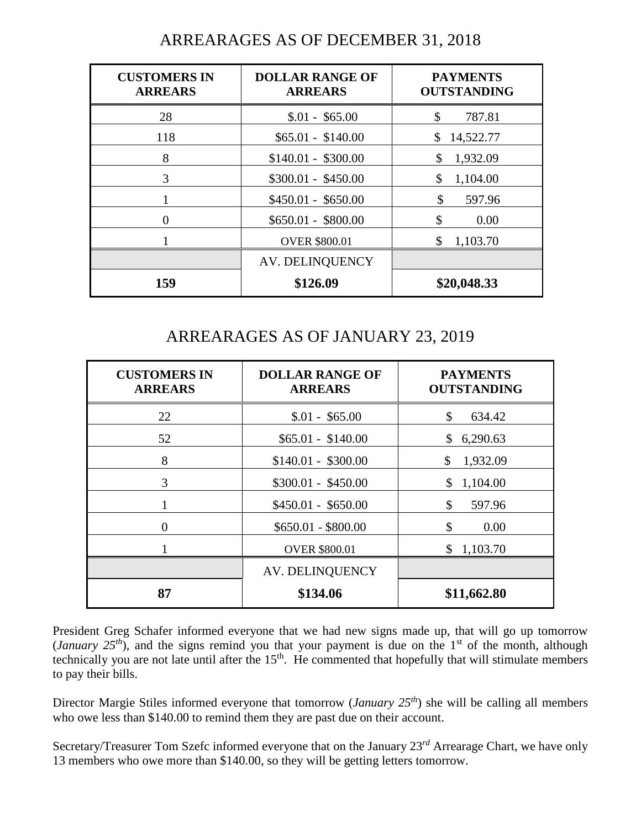| <b>CUSTOMERS IN</b><br><b>ARREARS</b> | <b>DOLLAR RANGE OF</b><br><b>ARREARS</b> | <b>PAYMENTS</b><br><b>OUTSTANDING</b> |
|---------------------------------------|------------------------------------------|---------------------------------------|
| 28                                    | $$.01 - $65.00$                          | \$<br>787.81                          |
| 118                                   | $$65.01 - $140.00$                       | 14,522.77<br>\$                       |
| 8                                     | $$140.01 - $300.00$                      | 1,932.09<br>\$                        |
| 3                                     | $$300.01 - $450.00$                      | \$<br>1,104.00                        |
|                                       | $$450.01 - $650.00$                      | \$<br>597.96                          |
| 0                                     | $$650.01 - $800.00$                      | \$<br>0.00                            |
|                                       | <b>OVER \$800.01</b>                     | \$<br>1,103.70                        |
|                                       | <b>AV. DELINQUENCY</b>                   |                                       |
| 159                                   | \$126.09                                 | \$20,048.33                           |

# ARREARAGES AS OF DECEMBER 31, 2018

# ARREARAGES AS OF JANUARY 23, 2019

| <b>CUSTOMERS IN</b><br><b>ARREARS</b> | <b>DOLLAR RANGE OF</b><br><b>ARREARS</b> | <b>PAYMENTS</b><br><b>OUTSTANDING</b> |  |  |
|---------------------------------------|------------------------------------------|---------------------------------------|--|--|
| 22                                    | $$.01 - $65.00$                          | \$<br>634.42                          |  |  |
| 52                                    | $$65.01 - $140.00$                       | 6,290.63<br>\$                        |  |  |
| 8                                     | $$140.01 - $300.00$                      | 1,932.09<br>\$                        |  |  |
| 3                                     | $$300.01 - $450.00$                      | \$1,104.00                            |  |  |
|                                       | $$450.01 - $650.00$                      | \$<br>597.96                          |  |  |
| 0                                     | $$650.01 - $800.00$                      | \$<br>0.00                            |  |  |
|                                       | <b>OVER \$800.01</b>                     | \$1,103.70                            |  |  |
|                                       | AV. DELINQUENCY                          |                                       |  |  |
| 87                                    | \$134.06                                 | \$11,662.80                           |  |  |

President Greg Schafer informed everyone that we had new signs made up, that will go up tomorrow (*January 25<sup>th</sup>*), and the signs remind you that your payment is due on the 1<sup>st</sup> of the month, although technically you are not late until after the  $15<sup>th</sup>$ . He commented that hopefully that will stimulate members to pay their bills.

Director Margie Stiles informed everyone that tomorrow (*January 25th*) she will be calling all members who owe less than \$140.00 to remind them they are past due on their account.

Secretary/Treasurer Tom Szefc informed everyone that on the January 23 *rd* Arrearage Chart, we have only 13 members who owe more than \$140.00, so they will be getting letters tomorrow.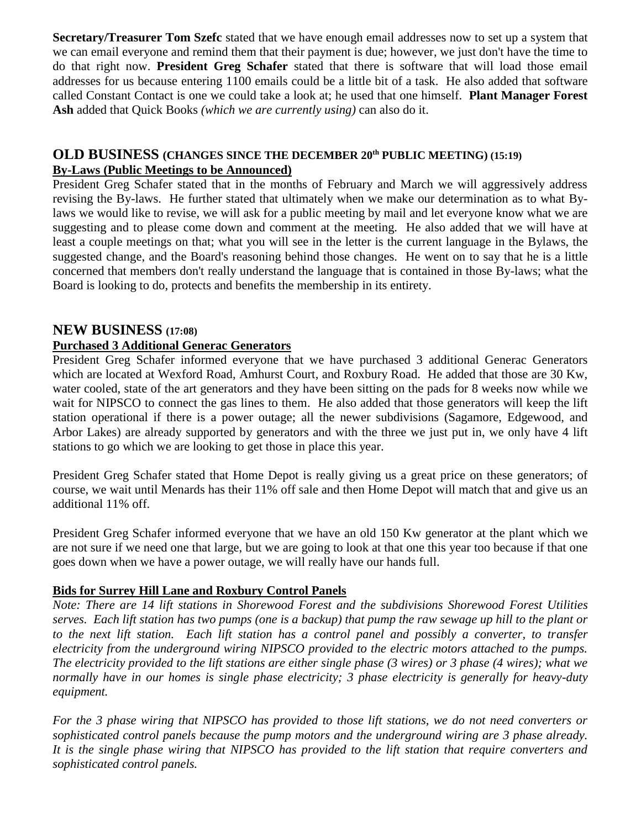**Secretary/Treasurer Tom Szefc** stated that we have enough email addresses now to set up a system that we can email everyone and remind them that their payment is due; however, we just don't have the time to do that right now. **President Greg Schafer** stated that there is software that will load those email addresses for us because entering 1100 emails could be a little bit of a task. He also added that software called Constant Contact is one we could take a look at; he used that one himself. **Plant Manager Forest Ash** added that Quick Books *(which we are currently using)* can also do it.

#### **OLD BUSINESS (CHANGES SINCE THE DECEMBER 20th PUBLIC MEETING) (15:19) By-Laws (Public Meetings to be Announced)**

President Greg Schafer stated that in the months of February and March we will aggressively address revising the By-laws. He further stated that ultimately when we make our determination as to what Bylaws we would like to revise, we will ask for a public meeting by mail and let everyone know what we are suggesting and to please come down and comment at the meeting. He also added that we will have at least a couple meetings on that; what you will see in the letter is the current language in the Bylaws, the suggested change, and the Board's reasoning behind those changes. He went on to say that he is a little concerned that members don't really understand the language that is contained in those By-laws; what the Board is looking to do, protects and benefits the membership in its entirety.

### **NEW BUSINESS (17:08)**

#### **Purchased 3 Additional Generac Generators**

President Greg Schafer informed everyone that we have purchased 3 additional Generac Generators which are located at Wexford Road, Amhurst Court, and Roxbury Road. He added that those are 30 Kw, water cooled, state of the art generators and they have been sitting on the pads for 8 weeks now while we wait for NIPSCO to connect the gas lines to them. He also added that those generators will keep the lift station operational if there is a power outage; all the newer subdivisions (Sagamore, Edgewood, and Arbor Lakes) are already supported by generators and with the three we just put in, we only have 4 lift stations to go which we are looking to get those in place this year.

President Greg Schafer stated that Home Depot is really giving us a great price on these generators; of course, we wait until Menards has their 11% off sale and then Home Depot will match that and give us an additional 11% off.

President Greg Schafer informed everyone that we have an old 150 Kw generator at the plant which we are not sure if we need one that large, but we are going to look at that one this year too because if that one goes down when we have a power outage, we will really have our hands full.

#### **Bids for Surrey Hill Lane and Roxbury Control Panels**

*Note: There are 14 lift stations in Shorewood Forest and the subdivisions Shorewood Forest Utilities serves. Each lift station has two pumps (one is a backup) that pump the raw sewage up hill to the plant or to the next lift station. Each lift station has a control panel and possibly a converter, to transfer electricity from the underground wiring NIPSCO provided to the electric motors attached to the pumps. The electricity provided to the lift stations are either single phase (3 wires) or 3 phase (4 wires); what we normally have in our homes is single phase electricity; 3 phase electricity is generally for heavy-duty equipment.* 

*For the 3 phase wiring that NIPSCO has provided to those lift stations, we do not need converters or sophisticated control panels because the pump motors and the underground wiring are 3 phase already. It is the single phase wiring that NIPSCO has provided to the lift station that require converters and sophisticated control panels.*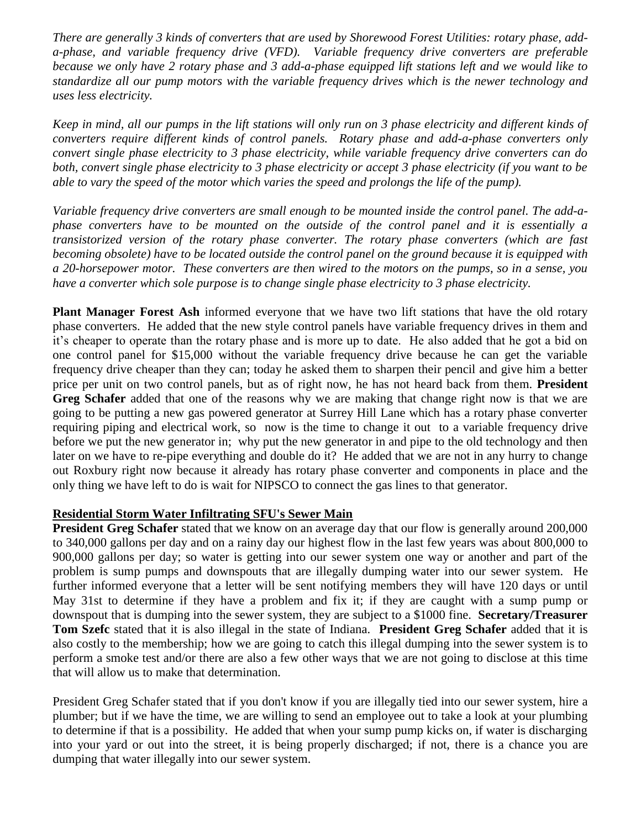*There are generally 3 kinds of converters that are used by Shorewood Forest Utilities: rotary phase, adda-phase, and variable frequency drive (VFD). Variable frequency drive converters are preferable because we only have 2 rotary phase and 3 add-a-phase equipped lift stations left and we would like to standardize all our pump motors with the variable frequency drives which is the newer technology and uses less electricity.*

*Keep in mind, all our pumps in the lift stations will only run on 3 phase electricity and different kinds of converters require different kinds of control panels. Rotary phase and add-a-phase converters only convert single phase electricity to 3 phase electricity, while variable frequency drive converters can do both, convert single phase electricity to 3 phase electricity or accept 3 phase electricity (if you want to be able to vary the speed of the motor which varies the speed and prolongs the life of the pump).* 

*Variable frequency drive converters are small enough to be mounted inside the control panel. The add-aphase converters have to be mounted on the outside of the control panel and it is essentially a transistorized version of the rotary phase converter. The rotary phase converters (which are fast becoming obsolete) have to be located outside the control panel on the ground because it is equipped with a 20-horsepower motor. These converters are then wired to the motors on the pumps, so in a sense, you have a converter which sole purpose is to change single phase electricity to 3 phase electricity.*

**Plant Manager Forest Ash** informed everyone that we have two lift stations that have the old rotary phase converters. He added that the new style control panels have variable frequency drives in them and it's cheaper to operate than the rotary phase and is more up to date. He also added that he got a bid on one control panel for \$15,000 without the variable frequency drive because he can get the variable frequency drive cheaper than they can; today he asked them to sharpen their pencil and give him a better price per unit on two control panels, but as of right now, he has not heard back from them. **President Greg Schafer** added that one of the reasons why we are making that change right now is that we are going to be putting a new gas powered generator at Surrey Hill Lane which has a rotary phase converter requiring piping and electrical work, so now is the time to change it out to a variable frequency drive before we put the new generator in; why put the new generator in and pipe to the old technology and then later on we have to re-pipe everything and double do it? He added that we are not in any hurry to change out Roxbury right now because it already has rotary phase converter and components in place and the only thing we have left to do is wait for NIPSCO to connect the gas lines to that generator.

#### **Residential Storm Water Infiltrating SFU's Sewer Main**

**President Greg Schafer** stated that we know on an average day that our flow is generally around 200,000 to 340,000 gallons per day and on a rainy day our highest flow in the last few years was about 800,000 to 900,000 gallons per day; so water is getting into our sewer system one way or another and part of the problem is sump pumps and downspouts that are illegally dumping water into our sewer system. He further informed everyone that a letter will be sent notifying members they will have 120 days or until May 31st to determine if they have a problem and fix it; if they are caught with a sump pump or downspout that is dumping into the sewer system, they are subject to a \$1000 fine. **Secretary/Treasurer Tom Szefc** stated that it is also illegal in the state of Indiana. **President Greg Schafer** added that it is also costly to the membership; how we are going to catch this illegal dumping into the sewer system is to perform a smoke test and/or there are also a few other ways that we are not going to disclose at this time that will allow us to make that determination.

President Greg Schafer stated that if you don't know if you are illegally tied into our sewer system, hire a plumber; but if we have the time, we are willing to send an employee out to take a look at your plumbing to determine if that is a possibility. He added that when your sump pump kicks on, if water is discharging into your yard or out into the street, it is being properly discharged; if not, there is a chance you are dumping that water illegally into our sewer system.